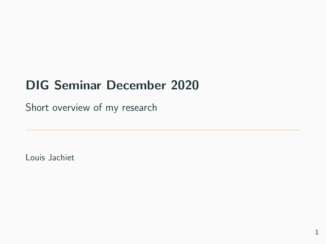## DIG Seminar December 2020

Short overview of my research

Louis Jachiet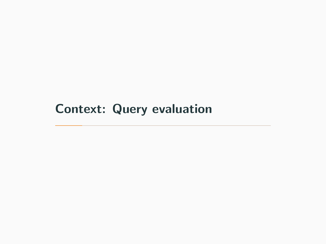## <span id="page-1-0"></span>[Context: Query evaluation](#page-1-0)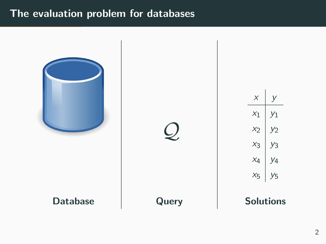#### The evaluation problem for databases

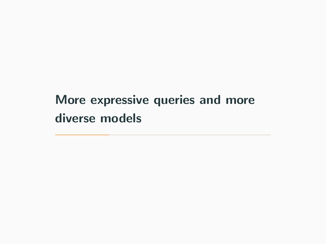## <span id="page-3-0"></span>[More expressive queries and more](#page-3-0) [diverse models](#page-3-0)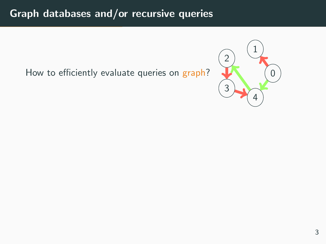## Graph databases and/or recursive queries

How to efficiently evaluate queries on graph?

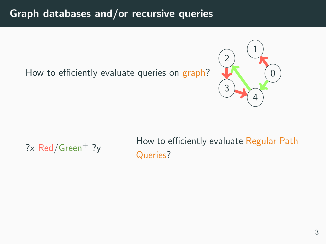### Graph databases and/or recursive queries

How to efficiently evaluate queries on graph?



? $x$  Red/Green<sup>+</sup> ? $y$ 

How to efficiently evaluate Regular Path Queries?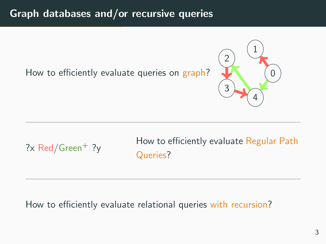## Graph databases and/or recursive queries

How to efficiently evaluate queries on graph?



? $x$  Red/Green<sup>+</sup> ? $y$ 

How to efficiently evaluate Regular Path Queries?

#### How to efficiently evaluate relational queries with recursion?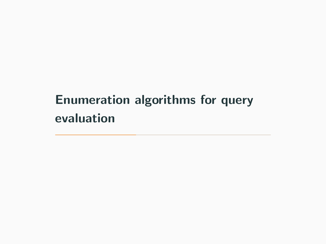# <span id="page-7-0"></span>[Enumeration algorithms for query](#page-7-0) [evaluation](#page-7-0)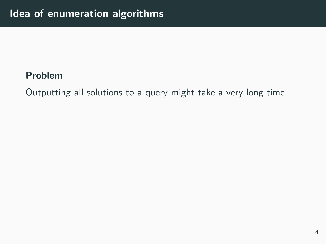#### Problem

Outputting all solutions to a query might take a very long time.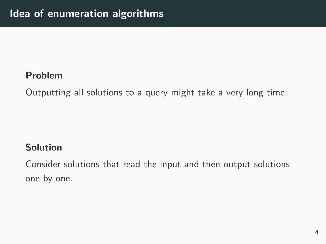#### Problem

Outputting all solutions to a query might take a very long time.

### Solution

Consider solutions that read the input and then output solutions one by one.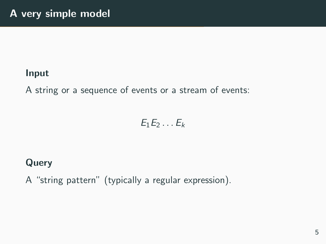#### Input

A string or a sequence of events or a stream of events:

$$
E_1E_2\ldots E_k
$$

## Query

A "string pattern" (typically a regular expression).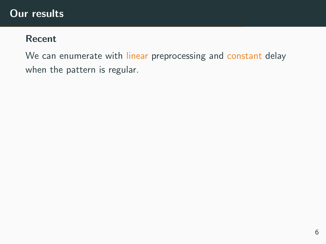#### Our results

#### Recent

We can enumerate with linear preprocessing and constant delay when the pattern is regular.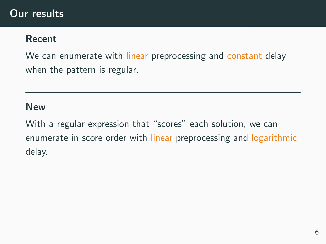#### Recent

We can enumerate with linear preprocessing and constant delay when the pattern is regular.

#### New

With a regular expression that "scores" each solution, we can enumerate in score order with linear preprocessing and logarithmic delay.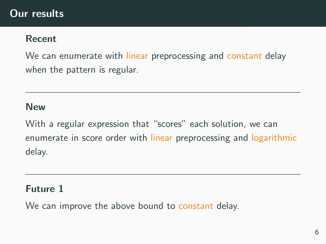#### Recent

We can enumerate with linear preprocessing and constant delay when the pattern is regular.

#### New

With a regular expression that "scores" each solution, we can enumerate in score order with linear preprocessing and logarithmic delay.

#### Future 1

We can improve the above bound to constant delay.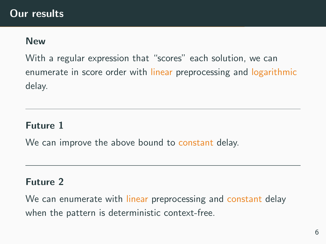#### New

With a regular expression that "scores" each solution, we can enumerate in score order with linear preprocessing and logarithmic delay.

#### Future 1

We can improve the above bound to constant delay.

#### Future 2

We can enumerate with linear preprocessing and constant delay when the pattern is deterministic context-free.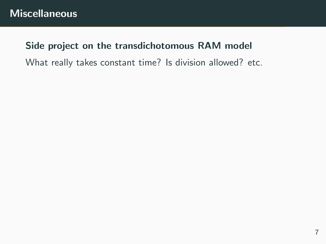#### Side project on the transdichotomous RAM model

What really takes constant time? Is division allowed? etc.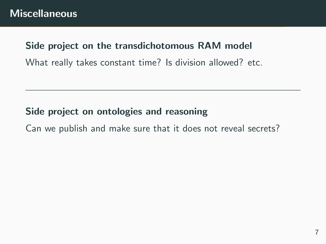#### Side project on the transdichotomous RAM model

What really takes constant time? Is division allowed? etc.

#### Side project on ontologies and reasoning

Can we publish and make sure that it does not reveal secrets?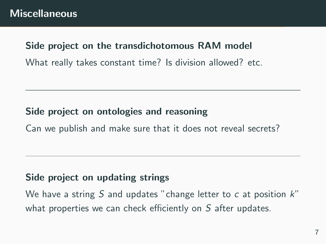#### Side project on the transdichotomous RAM model

What really takes constant time? Is division allowed? etc.

#### Side project on ontologies and reasoning

Can we publish and make sure that it does not reveal secrets?

#### Side project on updating strings

We have a string S and updates "change letter to  $c$  at position  $k$ " what properties we can check efficiently on S after updates.